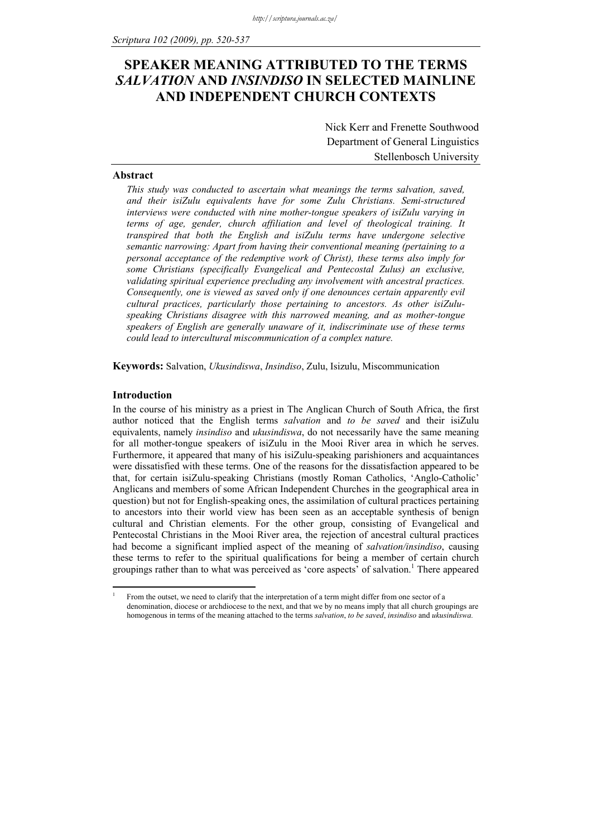# **SPEAKER MEANING ATTRIBUTED TO THE TERMS**  *SALVATION* **AND** *INSINDISO* **IN SELECTED MAINLINE AND INDEPENDENT CHURCH CONTEXTS**

Nick Kerr and Frenette Southwood Department of General Linguistics Stellenbosch University

#### **Abstract**

*This study was conducted to ascertain what meanings the terms salvation, saved, and their isiZulu equivalents have for some Zulu Christians. Semi-structured interviews were conducted with nine mother-tongue speakers of isiZulu varying in terms of age, gender, church affiliation and level of theological training. It transpired that both the English and isiZulu terms have undergone selective semantic narrowing: Apart from having their conventional meaning (pertaining to a personal acceptance of the redemptive work of Christ), these terms also imply for some Christians (specifically Evangelical and Pentecostal Zulus) an exclusive, validating spiritual experience precluding any involvement with ancestral practices. Consequently, one is viewed as saved only if one denounces certain apparently evil cultural practices, particularly those pertaining to ancestors. As other isiZuluspeaking Christians disagree with this narrowed meaning, and as mother-tongue speakers of English are generally unaware of it, indiscriminate use of these terms could lead to intercultural miscommunication of a complex nature.* 

**Keywords:** Salvation, *Ukusindiswa*, *Insindiso*, Zulu, Isizulu, Miscommunication

#### **Introduction**

1 1

In the course of his ministry as a priest in The Anglican Church of South Africa, the first author noticed that the English terms *salvation* and *to be saved* and their isiZulu equivalents, namely *insindiso* and *ukusindiswa*, do not necessarily have the same meaning for all mother-tongue speakers of isiZulu in the Mooi River area in which he serves. Furthermore, it appeared that many of his isiZulu-speaking parishioners and acquaintances were dissatisfied with these terms. One of the reasons for the dissatisfaction appeared to be that, for certain isiZulu-speaking Christians (mostly Roman Catholics, 'Anglo-Catholic' Anglicans and members of some African Independent Churches in the geographical area in question) but not for English-speaking ones, the assimilation of cultural practices pertaining to ancestors into their world view has been seen as an acceptable synthesis of benign cultural and Christian elements. For the other group, consisting of Evangelical and Pentecostal Christians in the Mooi River area, the rejection of ancestral cultural practices had become a significant implied aspect of the meaning of *salvation/insindiso*, causing these terms to refer to the spiritual qualifications for being a member of certain church groupings rather than to what was perceived as 'core aspects' of salvation.<sup>1</sup> There appeared

From the outset, we need to clarify that the interpretation of a term might differ from one sector of a denomination, diocese or archdiocese to the next, and that we by no means imply that all church groupings are homogenous in terms of the meaning attached to the terms *salvation*, *to be saved*, *insindiso* and *ukusindiswa.*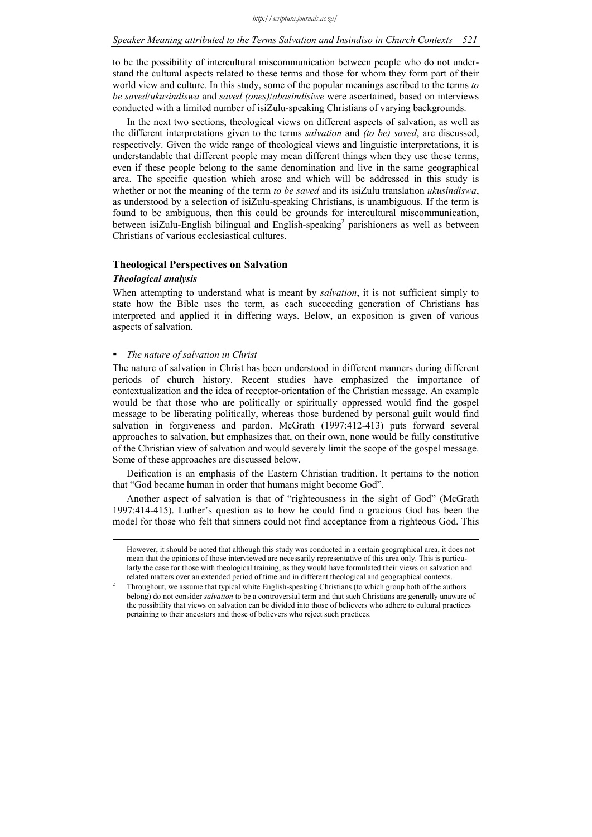to be the possibility of intercultural miscommunication between people who do not understand the cultural aspects related to these terms and those for whom they form part of their world view and culture. In this study, some of the popular meanings ascribed to the terms *to be saved*/*ukusindiswa* and *saved (ones)*/*abasindisiwe* were ascertained, based on interviews conducted with a limited number of isiZulu-speaking Christians of varying backgrounds.

In the next two sections, theological views on different aspects of salvation, as well as the different interpretations given to the terms *salvation* and *(to be) saved*, are discussed, respectively. Given the wide range of theological views and linguistic interpretations, it is understandable that different people may mean different things when they use these terms, even if these people belong to the same denomination and live in the same geographical area. The specific question which arose and which will be addressed in this study is whether or not the meaning of the term *to be saved* and its isiZulu translation *ukusindiswa*, as understood by a selection of isiZulu-speaking Christians, is unambiguous. If the term is found to be ambiguous, then this could be grounds for intercultural miscommunication, between isiZulu-English bilingual and English-speaking<sup>2</sup> parishioners as well as between Christians of various ecclesiastical cultures.

#### **Theological Perspectives on Salvation**

### *Theological analysis*

When attempting to understand what is meant by *salvation*, it is not sufficient simply to state how the Bible uses the term, as each succeeding generation of Christians has interpreted and applied it in differing ways. Below, an exposition is given of various aspects of salvation.

### *The nature of salvation in Christ*

The nature of salvation in Christ has been understood in different manners during different periods of church history. Recent studies have emphasized the importance of contextualization and the idea of receptor-orientation of the Christian message. An example would be that those who are politically or spiritually oppressed would find the gospel message to be liberating politically, whereas those burdened by personal guilt would find salvation in forgiveness and pardon. McGrath (1997:412-413) puts forward several approaches to salvation, but emphasizes that, on their own, none would be fully constitutive of the Christian view of salvation and would severely limit the scope of the gospel message. Some of these approaches are discussed below.

Deification is an emphasis of the Eastern Christian tradition. It pertains to the notion that "God became human in order that humans might become God".

Another aspect of salvation is that of "righteousness in the sight of God" (McGrath 1997:414-415). Luther's question as to how he could find a gracious God has been the model for those who felt that sinners could not find acceptance from a righteous God. This

However, it should be noted that although this study was conducted in a certain geographical area, it does not mean that the opinions of those interviewed are necessarily representative of this area only. This is particularly the case for those with theological training, as they would have formulated their views on salvation and related matters over an extended period of time and in different theological and geographical contexts. 2

Throughout, we assume that typical white English-speaking Christians (to which group both of the authors belong) do not consider *salvation* to be a controversial term and that such Christians are generally unaware of the possibility that views on salvation can be divided into those of believers who adhere to cultural practices pertaining to their ancestors and those of believers who reject such practices.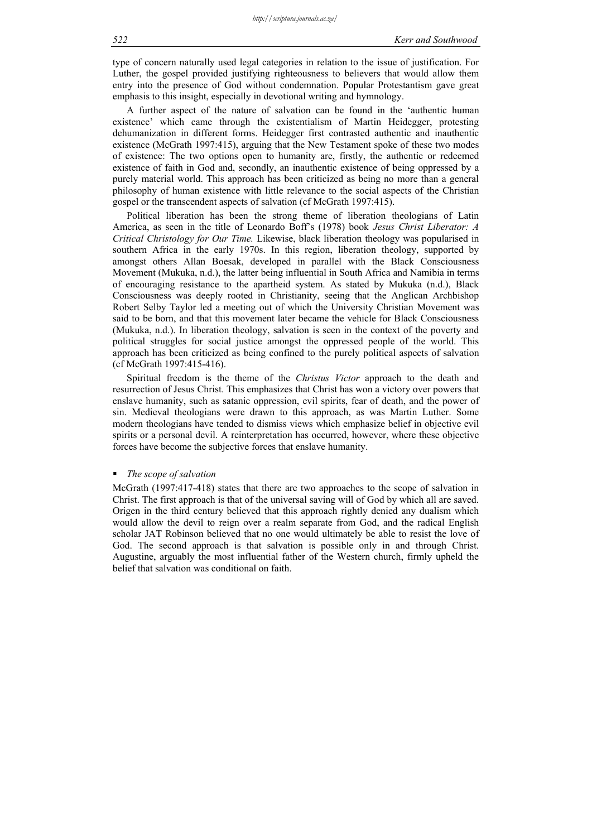type of concern naturally used legal categories in relation to the issue of justification. For Luther, the gospel provided justifying righteousness to believers that would allow them entry into the presence of God without condemnation. Popular Protestantism gave great emphasis to this insight, especially in devotional writing and hymnology.

A further aspect of the nature of salvation can be found in the 'authentic human existence' which came through the existentialism of Martin Heidegger, protesting dehumanization in different forms. Heidegger first contrasted authentic and inauthentic existence (McGrath 1997:415), arguing that the New Testament spoke of these two modes of existence: The two options open to humanity are, firstly, the authentic or redeemed existence of faith in God and, secondly, an inauthentic existence of being oppressed by a purely material world. This approach has been criticized as being no more than a general philosophy of human existence with little relevance to the social aspects of the Christian gospel or the transcendent aspects of salvation (cf McGrath 1997:415).

Political liberation has been the strong theme of liberation theologians of Latin America, as seen in the title of Leonardo Boff's (1978) book *Jesus Christ Liberator: A Critical Christology for Our Time.* Likewise, black liberation theology was popularised in southern Africa in the early 1970s. In this region, liberation theology, supported by amongst others Allan Boesak, developed in parallel with the Black Consciousness Movement (Mukuka, n.d.), the latter being influential in South Africa and Namibia in terms of encouraging resistance to the apartheid system. As stated by Mukuka (n.d.), Black Consciousness was deeply rooted in Christianity, seeing that the Anglican Archbishop Robert Selby Taylor led a meeting out of which the University Christian Movement was said to be born, and that this movement later became the vehicle for Black Consciousness (Mukuka, n.d.). In liberation theology, salvation is seen in the context of the poverty and political struggles for social justice amongst the oppressed people of the world. This approach has been criticized as being confined to the purely political aspects of salvation (cf McGrath 1997:415-416).

Spiritual freedom is the theme of the *Christus Victor* approach to the death and resurrection of Jesus Christ. This emphasizes that Christ has won a victory over powers that enslave humanity, such as satanic oppression, evil spirits, fear of death, and the power of sin. Medieval theologians were drawn to this approach, as was Martin Luther. Some modern theologians have tended to dismiss views which emphasize belief in objective evil spirits or a personal devil. A reinterpretation has occurred, however, where these objective forces have become the subjective forces that enslave humanity.

### *The scope of salvation*

McGrath (1997:417-418) states that there are two approaches to the scope of salvation in Christ. The first approach is that of the universal saving will of God by which all are saved. Origen in the third century believed that this approach rightly denied any dualism which would allow the devil to reign over a realm separate from God, and the radical English scholar JAT Robinson believed that no one would ultimately be able to resist the love of God. The second approach is that salvation is possible only in and through Christ. Augustine, arguably the most influential father of the Western church, firmly upheld the belief that salvation was conditional on faith.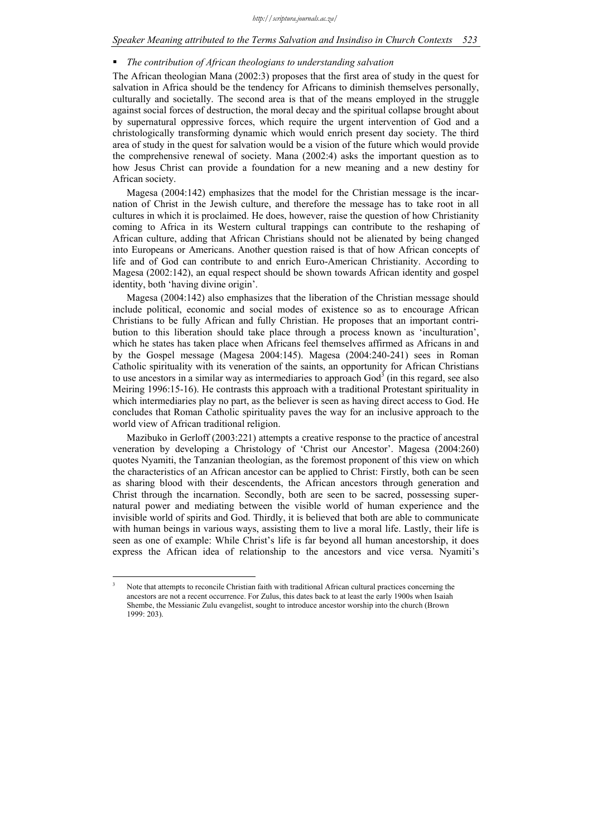#### *Speaker Meaning attributed to the Terms Salvation and Insindiso in Church Contexts 523*

### *The contribution of African theologians to understanding salvation*

The African theologian Mana (2002:3) proposes that the first area of study in the quest for salvation in Africa should be the tendency for Africans to diminish themselves personally, culturally and societally. The second area is that of the means employed in the struggle against social forces of destruction, the moral decay and the spiritual collapse brought about by supernatural oppressive forces, which require the urgent intervention of God and a christologically transforming dynamic which would enrich present day society. The third area of study in the quest for salvation would be a vision of the future which would provide the comprehensive renewal of society. Mana (2002:4) asks the important question as to how Jesus Christ can provide a foundation for a new meaning and a new destiny for African society.

Magesa (2004:142) emphasizes that the model for the Christian message is the incarnation of Christ in the Jewish culture, and therefore the message has to take root in all cultures in which it is proclaimed. He does, however, raise the question of how Christianity coming to Africa in its Western cultural trappings can contribute to the reshaping of African culture, adding that African Christians should not be alienated by being changed into Europeans or Americans. Another question raised is that of how African concepts of life and of God can contribute to and enrich Euro-American Christianity. According to Magesa (2002:142), an equal respect should be shown towards African identity and gospel identity, both 'having divine origin'.

Magesa (2004:142) also emphasizes that the liberation of the Christian message should include political, economic and social modes of existence so as to encourage African Christians to be fully African and fully Christian. He proposes that an important contribution to this liberation should take place through a process known as 'inculturation', which he states has taken place when Africans feel themselves affirmed as Africans in and by the Gospel message (Magesa 2004:145). Magesa (2004:240-241) sees in Roman Catholic spirituality with its veneration of the saints, an opportunity for African Christians to use ancestors in a similar way as intermediaries to approach  $God<sup>3</sup>$  (in this regard, see also Meiring 1996:15-16). He contrasts this approach with a traditional Protestant spirituality in which intermediaries play no part, as the believer is seen as having direct access to God. He concludes that Roman Catholic spirituality paves the way for an inclusive approach to the world view of African traditional religion.

Mazibuko in Gerloff (2003:221) attempts a creative response to the practice of ancestral veneration by developing a Christology of 'Christ our Ancestor'. Magesa (2004:260) quotes Nyamiti, the Tanzanian theologian, as the foremost proponent of this view on which the characteristics of an African ancestor can be applied to Christ: Firstly, both can be seen as sharing blood with their descendents, the African ancestors through generation and Christ through the incarnation. Secondly, both are seen to be sacred, possessing supernatural power and mediating between the visible world of human experience and the invisible world of spirits and God. Thirdly, it is believed that both are able to communicate with human beings in various ways, assisting them to live a moral life. Lastly, their life is seen as one of example: While Christ's life is far beyond all human ancestorship, it does express the African idea of relationship to the ancestors and vice versa. Nyamiti's

1

<sup>3</sup> Note that attempts to reconcile Christian faith with traditional African cultural practices concerning the ancestors are not a recent occurrence. For Zulus, this dates back to at least the early 1900s when Isaiah Shembe, the Messianic Zulu evangelist, sought to introduce ancestor worship into the church (Brown 1999: 203).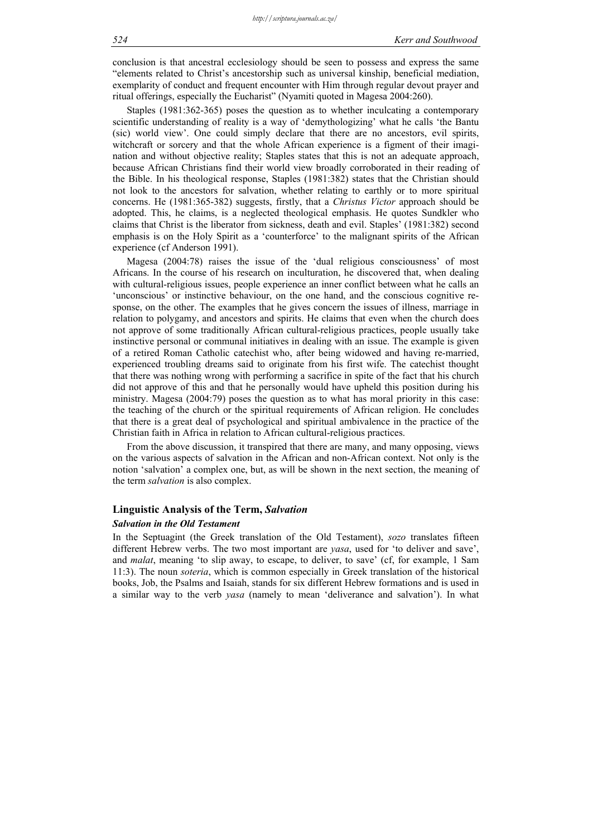conclusion is that ancestral ecclesiology should be seen to possess and express the same "elements related to Christ's ancestorship such as universal kinship, beneficial mediation, exemplarity of conduct and frequent encounter with Him through regular devout prayer and ritual offerings, especially the Eucharist" (Nyamiti quoted in Magesa 2004:260).

Staples (1981:362-365) poses the question as to whether inculcating a contemporary scientific understanding of reality is a way of 'demythologizing' what he calls 'the Bantu (sic) world view'. One could simply declare that there are no ancestors, evil spirits, witchcraft or sorcery and that the whole African experience is a figment of their imagination and without objective reality; Staples states that this is not an adequate approach, because African Christians find their world view broadly corroborated in their reading of the Bible. In his theological response, Staples (1981:382) states that the Christian should not look to the ancestors for salvation, whether relating to earthly or to more spiritual concerns. He (1981:365-382) suggests, firstly, that a *Christus Victor* approach should be adopted. This, he claims, is a neglected theological emphasis. He quotes Sundkler who claims that Christ is the liberator from sickness, death and evil. Staples' (1981:382) second emphasis is on the Holy Spirit as a 'counterforce' to the malignant spirits of the African experience (cf Anderson 1991).

Magesa (2004:78) raises the issue of the 'dual religious consciousness' of most Africans. In the course of his research on inculturation, he discovered that, when dealing with cultural-religious issues, people experience an inner conflict between what he calls an 'unconscious' or instinctive behaviour, on the one hand, and the conscious cognitive response, on the other. The examples that he gives concern the issues of illness, marriage in relation to polygamy, and ancestors and spirits. He claims that even when the church does not approve of some traditionally African cultural-religious practices, people usually take instinctive personal or communal initiatives in dealing with an issue. The example is given of a retired Roman Catholic catechist who, after being widowed and having re-married, experienced troubling dreams said to originate from his first wife. The catechist thought that there was nothing wrong with performing a sacrifice in spite of the fact that his church did not approve of this and that he personally would have upheld this position during his ministry. Magesa (2004:79) poses the question as to what has moral priority in this case: the teaching of the church or the spiritual requirements of African religion. He concludes that there is a great deal of psychological and spiritual ambivalence in the practice of the Christian faith in Africa in relation to African cultural-religious practices.

From the above discussion, it transpired that there are many, and many opposing, views on the various aspects of salvation in the African and non-African context. Not only is the notion 'salvation' a complex one, but, as will be shown in the next section, the meaning of the term *salvation* is also complex.

### **Linguistic Analysis of the Term,** *Salvation*

#### *Salvation in the Old Testament*

In the Septuagint (the Greek translation of the Old Testament), *sozo* translates fifteen different Hebrew verbs. The two most important are *yasa*, used for 'to deliver and save', and *malat*, meaning 'to slip away, to escape, to deliver, to save' (cf, for example, 1 Sam 11:3). The noun *soteria*, which is common especially in Greek translation of the historical books, Job, the Psalms and Isaiah, stands for six different Hebrew formations and is used in a similar way to the verb *yasa* (namely to mean 'deliverance and salvation'). In what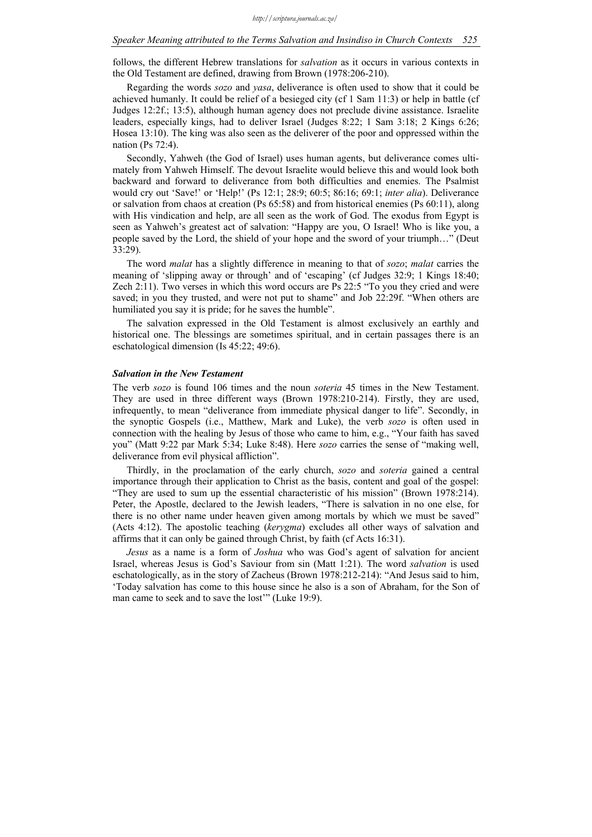#### *Speaker Meaning attributed to the Terms Salvation and Insindiso in Church Contexts 525*

follows, the different Hebrew translations for *salvation* as it occurs in various contexts in the Old Testament are defined, drawing from Brown (1978:206-210).

Regarding the words *sozo* and *yasa*, deliverance is often used to show that it could be achieved humanly. It could be relief of a besieged city (cf 1 Sam 11:3) or help in battle (cf Judges 12:2f.; 13:5), although human agency does not preclude divine assistance. Israelite leaders, especially kings, had to deliver Israel (Judges 8:22; 1 Sam 3:18; 2 Kings 6:26; Hosea 13:10). The king was also seen as the deliverer of the poor and oppressed within the nation (Ps 72:4).

Secondly, Yahweh (the God of Israel) uses human agents, but deliverance comes ultimately from Yahweh Himself. The devout Israelite would believe this and would look both backward and forward to deliverance from both difficulties and enemies. The Psalmist would cry out 'Save!' or 'Help!' (Ps 12:1; 28:9; 60:5; 86:16; 69:1; *inter alia*). Deliverance or salvation from chaos at creation (Ps 65:58) and from historical enemies (Ps 60:11), along with His vindication and help, are all seen as the work of God. The exodus from Egypt is seen as Yahweh's greatest act of salvation: "Happy are you, O Israel! Who is like you, a people saved by the Lord, the shield of your hope and the sword of your triumph…" (Deut 33:29).

The word *malat* has a slightly difference in meaning to that of *sozo*; *malat* carries the meaning of 'slipping away or through' and of 'escaping' (cf Judges 32:9; 1 Kings 18:40; Zech 2:11). Two verses in which this word occurs are Ps 22:5 "To you they cried and were saved; in you they trusted, and were not put to shame" and Job 22:29f. "When others are humiliated you say it is pride; for he saves the humble".

The salvation expressed in the Old Testament is almost exclusively an earthly and historical one. The blessings are sometimes spiritual, and in certain passages there is an eschatological dimension (Is 45:22; 49:6).

#### *Salvation in the New Testament*

The verb *sozo* is found 106 times and the noun *soteria* 45 times in the New Testament. They are used in three different ways (Brown 1978:210-214). Firstly, they are used, infrequently, to mean "deliverance from immediate physical danger to life". Secondly, in the synoptic Gospels (i.e., Matthew, Mark and Luke), the verb *sozo* is often used in connection with the healing by Jesus of those who came to him, e.g., "Your faith has saved you" (Matt 9:22 par Mark 5:34; Luke 8:48). Here *sozo* carries the sense of "making well, deliverance from evil physical affliction".

Thirdly, in the proclamation of the early church, *sozo* and *soteria* gained a central importance through their application to Christ as the basis, content and goal of the gospel: "They are used to sum up the essential characteristic of his mission" (Brown 1978:214). Peter, the Apostle, declared to the Jewish leaders, "There is salvation in no one else, for there is no other name under heaven given among mortals by which we must be saved" (Acts 4:12). The apostolic teaching (*kerygma*) excludes all other ways of salvation and affirms that it can only be gained through Christ, by faith (cf Acts 16:31).

*Jesus* as a name is a form of *Joshua* who was God's agent of salvation for ancient Israel, whereas Jesus is God's Saviour from sin (Matt 1:21). The word *salvation* is used eschatologically, as in the story of Zacheus (Brown 1978:212-214): "And Jesus said to him, 'Today salvation has come to this house since he also is a son of Abraham, for the Son of man came to seek and to save the lost'" (Luke 19:9).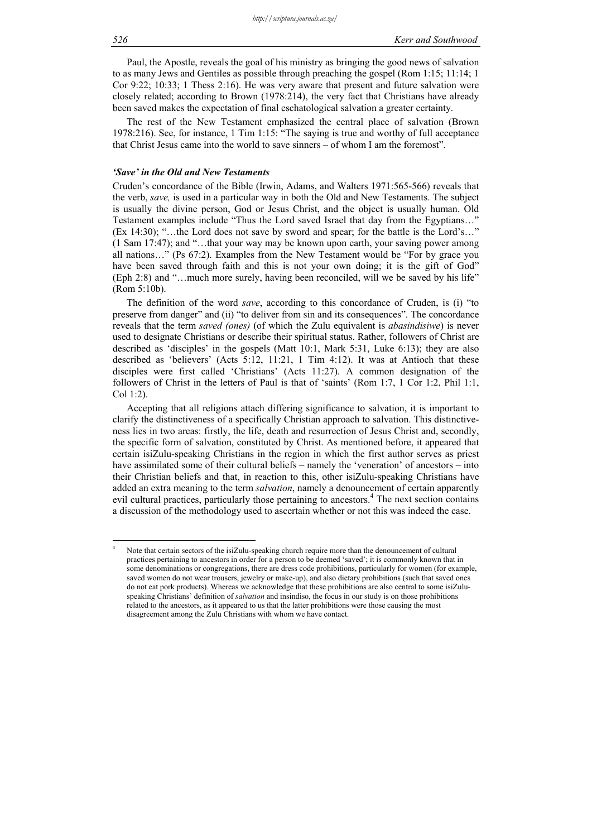Paul, the Apostle, reveals the goal of his ministry as bringing the good news of salvation to as many Jews and Gentiles as possible through preaching the gospel (Rom 1:15; 11:14; 1 Cor 9:22; 10:33; 1 Thess 2:16). He was very aware that present and future salvation were closely related; according to Brown (1978:214), the very fact that Christians have already been saved makes the expectation of final eschatological salvation a greater certainty.

The rest of the New Testament emphasized the central place of salvation (Brown 1978:216). See, for instance, 1 Tim 1:15: "The saying is true and worthy of full acceptance that Christ Jesus came into the world to save sinners – of whom I am the foremost".

#### *'Save' in the Old and New Testaments*

Cruden's concordance of the Bible (Irwin, Adams, and Walters 1971:565-566) reveals that the verb, *save,* is used in a particular way in both the Old and New Testaments. The subject is usually the divine person, God or Jesus Christ, and the object is usually human. Old Testament examples include "Thus the Lord saved Israel that day from the Egyptians…" (Ex 14:30); "…the Lord does not save by sword and spear; for the battle is the Lord's…" (1 Sam 17:47); and "…that your way may be known upon earth, your saving power among all nations…" (Ps 67:2). Examples from the New Testament would be "For by grace you have been saved through faith and this is not your own doing; it is the gift of God" (Eph 2:8) and "…much more surely, having been reconciled, will we be saved by his life" (Rom 5:10b).

The definition of the word *save*, according to this concordance of Cruden, is (i) "to preserve from danger" and (ii) "to deliver from sin and its consequences". The concordance reveals that the term *saved (ones)* (of which the Zulu equivalent is *abasindisiwe*) is never used to designate Christians or describe their spiritual status. Rather, followers of Christ are described as 'disciples' in the gospels (Matt 10:1, Mark 5:31, Luke 6:13); they are also described as 'believers' (Acts 5:12, 11:21, 1 Tim 4:12). It was at Antioch that these disciples were first called 'Christians' (Acts 11:27). A common designation of the followers of Christ in the letters of Paul is that of 'saints' (Rom 1:7, 1 Cor 1:2, Phil 1:1, Col 1:2).

Accepting that all religions attach differing significance to salvation, it is important to clarify the distinctiveness of a specifically Christian approach to salvation. This distinctiveness lies in two areas: firstly, the life, death and resurrection of Jesus Christ and, secondly, the specific form of salvation, constituted by Christ. As mentioned before, it appeared that certain isiZulu-speaking Christians in the region in which the first author serves as priest have assimilated some of their cultural beliefs – namely the 'veneration' of ancestors – into their Christian beliefs and that, in reaction to this, other isiZulu-speaking Christians have added an extra meaning to the term *salvation*, namely a denouncement of certain apparently evil cultural practices, particularly those pertaining to ancestors.<sup>4</sup> The next section contains a discussion of the methodology used to ascertain whether or not this was indeed the case.

 $\frac{1}{4}$  Note that certain sectors of the isiZulu-speaking church require more than the denouncement of cultural practices pertaining to ancestors in order for a person to be deemed 'saved'; it is commonly known that in some denominations or congregations, there are dress code prohibitions, particularly for women (for example, saved women do not wear trousers, jewelry or make-up), and also dietary prohibitions (such that saved ones do not eat pork products). Whereas we acknowledge that these prohibitions are also central to some isiZuluspeaking Christians' definition of *salvation* and insindiso, the focus in our study is on those prohibitions related to the ancestors, as it appeared to us that the latter prohibitions were those causing the most disagreement among the Zulu Christians with whom we have contact.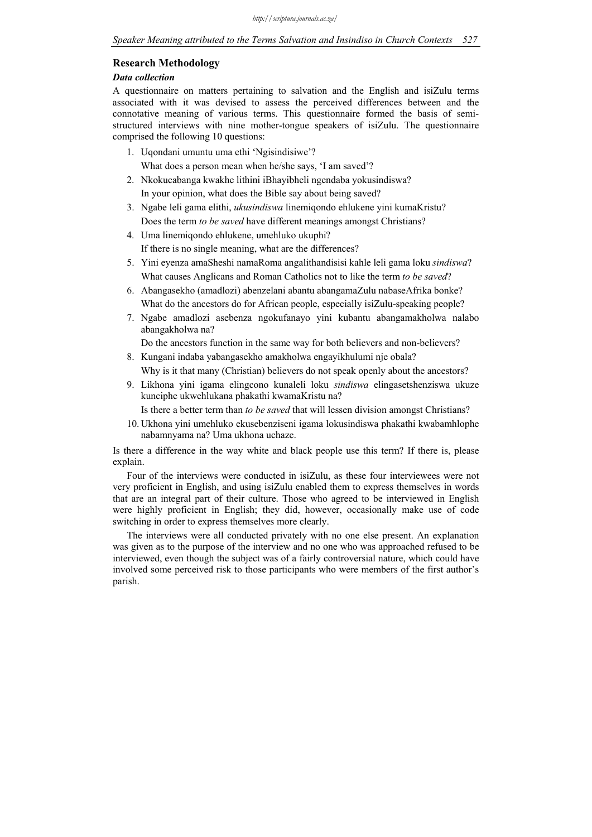### **Research Methodology**

#### *Data collection*

A questionnaire on matters pertaining to salvation and the English and isiZulu terms associated with it was devised to assess the perceived differences between and the connotative meaning of various terms. This questionnaire formed the basis of semistructured interviews with nine mother-tongue speakers of isiZulu. The questionnaire comprised the following 10 questions:

- 1. Uqondani umuntu uma ethi 'Ngisindisiwe'? What does a person mean when he/she says, 'I am saved'?
- 2. Nkokucabanga kwakhe lithini iBhayibheli ngendaba yokusindiswa? In your opinion, what does the Bible say about being saved?
- 3. Ngabe leli gama elithi, *ukusindiswa* linemiqondo ehlukene yini kumaKristu? Does the term *to be saved* have different meanings amongst Christians?
- 4. Uma linemiqondo ehlukene, umehluko ukuphi? If there is no single meaning, what are the differences?
- 5. Yini eyenza amaSheshi namaRoma angalithandisisi kahle leli gama loku *sindiswa*? What causes Anglicans and Roman Catholics not to like the term *to be saved*?
- 6. Abangasekho (amadlozi) abenzelani abantu abangamaZulu nabaseAfrika bonke? What do the ancestors do for African people, especially isiZulu-speaking people?
- 7. Ngabe amadlozi asebenza ngokufanayo yini kubantu abangamakholwa nalabo abangakholwa na?

Do the ancestors function in the same way for both believers and non-believers?

- 8. Kungani indaba yabangasekho amakholwa engayikhulumi nje obala? Why is it that many (Christian) believers do not speak openly about the ancestors?
- 9. Likhona yini igama elingcono kunaleli loku *sindiswa* elingasetshenziswa ukuze kunciphe ukwehlukana phakathi kwamaKristu na?

Is there a better term than *to be saved* that will lessen division amongst Christians?

10. Ukhona yini umehluko ekusebenziseni igama lokusindiswa phakathi kwabamhlophe nabamnyama na? Uma ukhona uchaze.

Is there a difference in the way white and black people use this term? If there is, please explain.

Four of the interviews were conducted in isiZulu, as these four interviewees were not very proficient in English, and using isiZulu enabled them to express themselves in words that are an integral part of their culture. Those who agreed to be interviewed in English were highly proficient in English; they did, however, occasionally make use of code switching in order to express themselves more clearly.

The interviews were all conducted privately with no one else present. An explanation was given as to the purpose of the interview and no one who was approached refused to be interviewed, even though the subject was of a fairly controversial nature, which could have involved some perceived risk to those participants who were members of the first author's parish.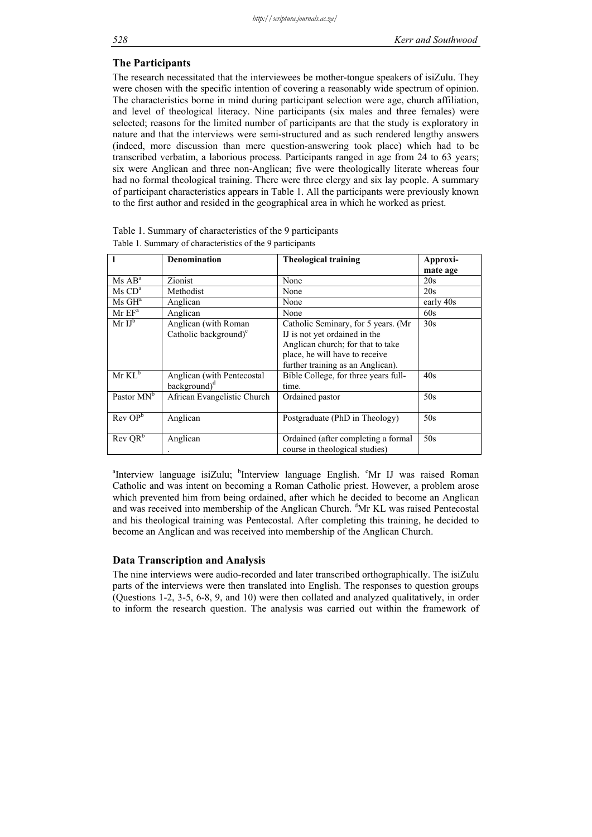### **The Participants**

The research necessitated that the interviewees be mother-tongue speakers of isiZulu. They were chosen with the specific intention of covering a reasonably wide spectrum of opinion. The characteristics borne in mind during participant selection were age, church affiliation, and level of theological literacy. Nine participants (six males and three females) were selected; reasons for the limited number of participants are that the study is exploratory in nature and that the interviews were semi-structured and as such rendered lengthy answers (indeed, more discussion than mere question-answering took place) which had to be transcribed verbatim, a laborious process. Participants ranged in age from 24 to 63 years; six were Anglican and three non-Anglican; five were theologically literate whereas four had no formal theological training. There were three clergy and six lay people. A summary of participant characteristics appears in Table 1. All the participants were previously known to the first author and resided in the geographical area in which he worked as priest.

|                                   | <b>Denomination</b>                                     | <b>Theological training</b>                                                                                                                                                       | Approxi-  |
|-----------------------------------|---------------------------------------------------------|-----------------------------------------------------------------------------------------------------------------------------------------------------------------------------------|-----------|
|                                   |                                                         |                                                                                                                                                                                   | mate age  |
| Ms AB <sup>a</sup>                | Zionist                                                 | None                                                                                                                                                                              | 20s       |
| $\text{Ms } \text{CD}^{\text{a}}$ | Methodist                                               | None                                                                                                                                                                              | 20s       |
| $Ms\,GH^a$                        | Anglican                                                | None                                                                                                                                                                              | early 40s |
| $MrEF^a$                          | Anglican                                                | None                                                                                                                                                                              | 60s       |
| $MrIJ^b$                          | Anglican (with Roman<br>Catholic background) $\text{c}$ | Catholic Seminary, for 5 years. (Mr.<br>IJ is not yet ordained in the<br>Anglican church; for that to take<br>place, he will have to receive<br>further training as an Anglican). | 30s       |
| $Mr KL^b$                         | Anglican (with Pentecostal<br>background) <sup>d</sup>  | Bible College, for three years full-<br>time.                                                                                                                                     | 40s       |
| Pastor MN <sup>b</sup>            | African Evangelistic Church                             | Ordained pastor                                                                                                                                                                   | 50s       |
| Rev OP <sup>b</sup>               | Anglican                                                | Postgraduate (PhD in Theology)                                                                                                                                                    | 50s       |
| $Rev$ $QR^b$                      | Anglican                                                | Ordained (after completing a formal<br>course in theological studies)                                                                                                             | 50s       |

Table 1. Summary of characteristics of the 9 participants Table 1. Summary of characteristics of the 9 participants

<sup>a</sup>Interview language isiZulu; <sup>b</sup>Interview language English. <sup>c</sup>Mr IJ was raised Roman Catholic and was intent on becoming a Roman Catholic priest. However, a problem arose which prevented him from being ordained, after which he decided to become an Anglican and was received into membership of the Anglican Church. <sup>d</sup>Mr KL was raised Pentecostal and his theological training was Pentecostal. After completing this training, he decided to become an Anglican and was received into membership of the Anglican Church.

### **Data Transcription and Analysis**

The nine interviews were audio-recorded and later transcribed orthographically. The isiZulu parts of the interviews were then translated into English. The responses to question groups (Questions 1-2, 3-5, 6-8, 9, and 10) were then collated and analyzed qualitatively, in order to inform the research question. The analysis was carried out within the framework of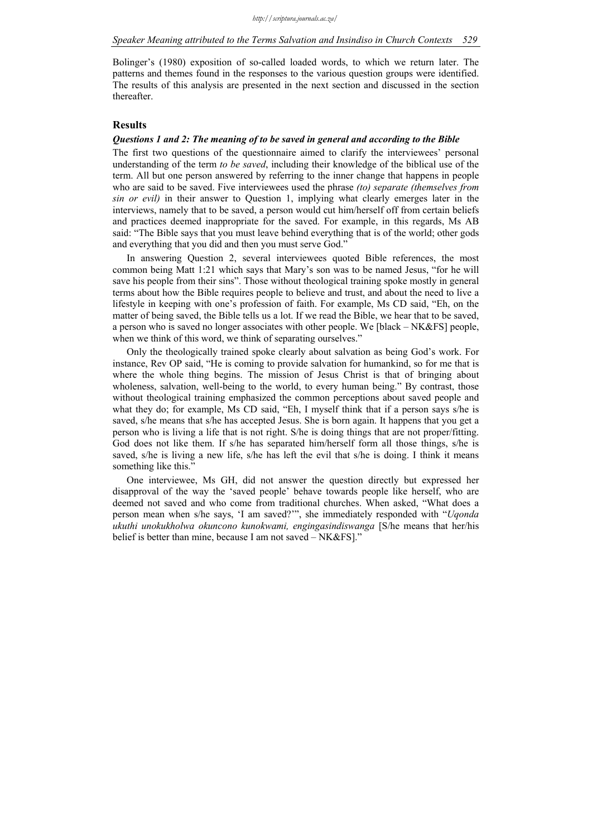### *Speaker Meaning attributed to the Terms Salvation and Insindiso in Church Contexts 529*

Bolinger's (1980) exposition of so-called loaded words, to which we return later. The patterns and themes found in the responses to the various question groups were identified. The results of this analysis are presented in the next section and discussed in the section thereafter.

### **Results**

### *Questions 1 and 2: The meaning of to be saved in general and according to the Bible*

The first two questions of the questionnaire aimed to clarify the interviewees' personal understanding of the term *to be saved*, including their knowledge of the biblical use of the term. All but one person answered by referring to the inner change that happens in people who are said to be saved. Five interviewees used the phrase *(to) separate (themselves from sin or evil)* in their answer to Question 1, implying what clearly emerges later in the interviews, namely that to be saved, a person would cut him/herself off from certain beliefs and practices deemed inappropriate for the saved. For example, in this regards, Ms AB said: "The Bible says that you must leave behind everything that is of the world; other gods and everything that you did and then you must serve God."

In answering Question 2, several interviewees quoted Bible references, the most common being Matt 1:21 which says that Mary's son was to be named Jesus, "for he will save his people from their sins". Those without theological training spoke mostly in general terms about how the Bible requires people to believe and trust, and about the need to live a lifestyle in keeping with one's profession of faith. For example, Ms CD said, "Eh, on the matter of being saved, the Bible tells us a lot. If we read the Bible, we hear that to be saved, a person who is saved no longer associates with other people. We [black – NK&FS] people, when we think of this word, we think of separating ourselves."

Only the theologically trained spoke clearly about salvation as being God's work. For instance, Rev OP said, "He is coming to provide salvation for humankind, so for me that is where the whole thing begins. The mission of Jesus Christ is that of bringing about wholeness, salvation, well-being to the world, to every human being." By contrast, those without theological training emphasized the common perceptions about saved people and what they do; for example, Ms CD said, "Eh, I myself think that if a person says s/he is saved, s/he means that s/he has accepted Jesus. She is born again. It happens that you get a person who is living a life that is not right. S/he is doing things that are not proper/fitting. God does not like them. If s/he has separated him/herself form all those things, s/he is saved, s/he is living a new life, s/he has left the evil that s/he is doing. I think it means something like this."

One interviewee, Ms GH, did not answer the question directly but expressed her disapproval of the way the 'saved people' behave towards people like herself, who are deemed not saved and who come from traditional churches. When asked, "What does a person mean when s/he says, 'I am saved?'", she immediately responded with "*Uqonda ukuthi unokukholwa okuncono kunokwami, engingasindiswanga* [S/he means that her/his belief is better than mine, because I am not saved – NK&FS]."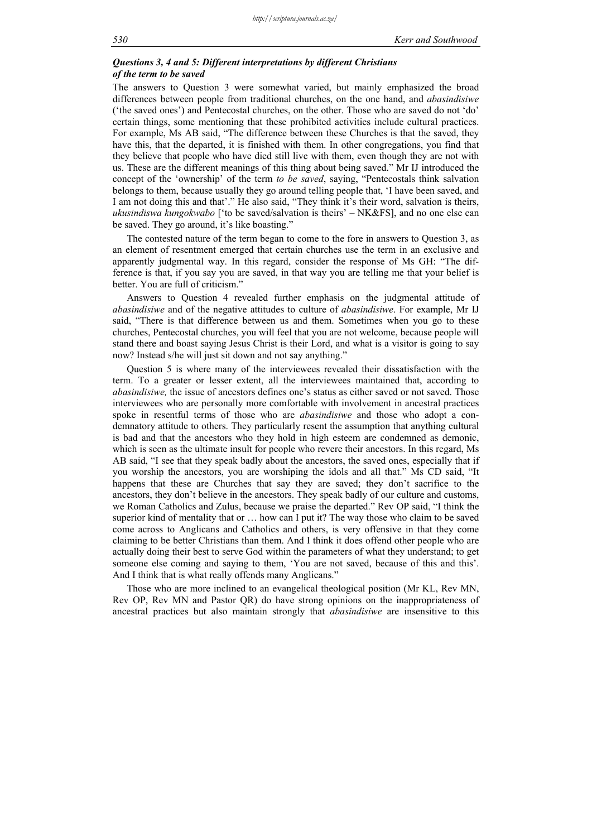### *Questions 3, 4 and 5: Different interpretations by different Christians of the term to be saved*

The answers to Question 3 were somewhat varied, but mainly emphasized the broad differences between people from traditional churches, on the one hand, and *abasindisiwe* ('the saved ones') and Pentecostal churches, on the other. Those who are saved do not 'do' certain things, some mentioning that these prohibited activities include cultural practices. For example, Ms AB said, "The difference between these Churches is that the saved, they have this, that the departed, it is finished with them. In other congregations, you find that they believe that people who have died still live with them, even though they are not with us. These are the different meanings of this thing about being saved." Mr IJ introduced the concept of the 'ownership' of the term *to be saved*, saying, "Pentecostals think salvation belongs to them, because usually they go around telling people that, 'I have been saved, and I am not doing this and that'." He also said, "They think it's their word, salvation is theirs, *ukusindiswa kungokwabo* ['to be saved/salvation is theirs' – NK&FS], and no one else can be saved. They go around, it's like boasting."

The contested nature of the term began to come to the fore in answers to Question 3, as an element of resentment emerged that certain churches use the term in an exclusive and apparently judgmental way. In this regard, consider the response of Ms GH: "The difference is that, if you say you are saved, in that way you are telling me that your belief is better. You are full of criticism."

Answers to Question 4 revealed further emphasis on the judgmental attitude of *abasindisiwe* and of the negative attitudes to culture of *abasindisiwe*. For example, Mr IJ said, "There is that difference between us and them. Sometimes when you go to these churches, Pentecostal churches, you will feel that you are not welcome, because people will stand there and boast saying Jesus Christ is their Lord, and what is a visitor is going to say now? Instead s/he will just sit down and not say anything."

Question 5 is where many of the interviewees revealed their dissatisfaction with the term. To a greater or lesser extent, all the interviewees maintained that, according to *abasindisiwe,* the issue of ancestors defines one's status as either saved or not saved. Those interviewees who are personally more comfortable with involvement in ancestral practices spoke in resentful terms of those who are *abasindisiwe* and those who adopt a condemnatory attitude to others. They particularly resent the assumption that anything cultural is bad and that the ancestors who they hold in high esteem are condemned as demonic, which is seen as the ultimate insult for people who revere their ancestors. In this regard, Ms AB said, "I see that they speak badly about the ancestors, the saved ones, especially that if you worship the ancestors, you are worshiping the idols and all that." Ms CD said, "It happens that these are Churches that say they are saved; they don't sacrifice to the ancestors, they don't believe in the ancestors. They speak badly of our culture and customs, we Roman Catholics and Zulus, because we praise the departed." Rev OP said, "I think the superior kind of mentality that or … how can I put it? The way those who claim to be saved come across to Anglicans and Catholics and others, is very offensive in that they come claiming to be better Christians than them. And I think it does offend other people who are actually doing their best to serve God within the parameters of what they understand; to get someone else coming and saying to them, 'You are not saved, because of this and this'. And I think that is what really offends many Anglicans."

Those who are more inclined to an evangelical theological position (Mr KL, Rev MN, Rev OP, Rev MN and Pastor QR) do have strong opinions on the inappropriateness of ancestral practices but also maintain strongly that *abasindisiwe* are insensitive to this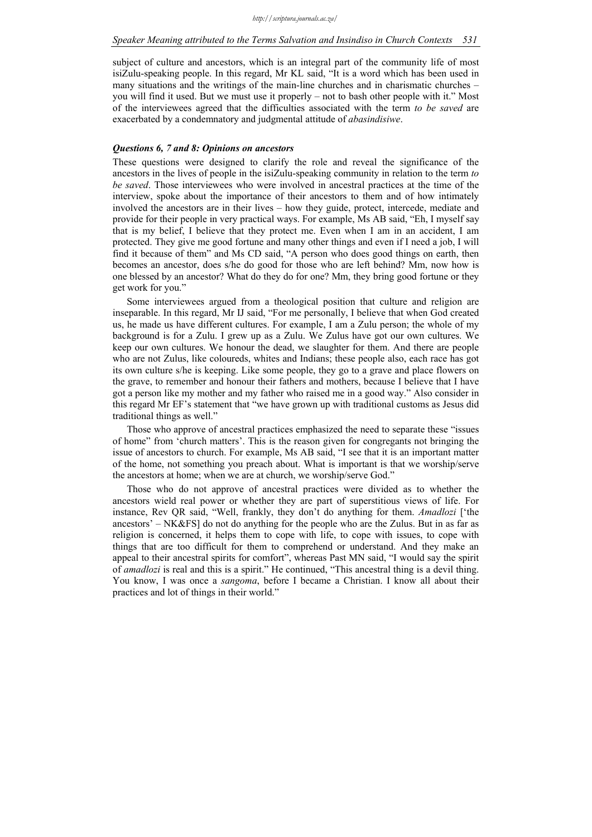subject of culture and ancestors, which is an integral part of the community life of most isiZulu-speaking people. In this regard, Mr KL said, "It is a word which has been used in many situations and the writings of the main-line churches and in charismatic churches – you will find it used. But we must use it properly – not to bash other people with it." Most of the interviewees agreed that the difficulties associated with the term *to be saved* are exacerbated by a condemnatory and judgmental attitude of *abasindisiwe*.

### *Questions 6, 7 and 8: Opinions on ancestors*

These questions were designed to clarify the role and reveal the significance of the ancestors in the lives of people in the isiZulu-speaking community in relation to the term *to be saved*. Those interviewees who were involved in ancestral practices at the time of the interview, spoke about the importance of their ancestors to them and of how intimately involved the ancestors are in their lives – how they guide, protect, intercede, mediate and provide for their people in very practical ways. For example, Ms AB said, "Eh, I myself say that is my belief, I believe that they protect me. Even when I am in an accident, I am protected. They give me good fortune and many other things and even if I need a job, I will find it because of them" and Ms CD said, "A person who does good things on earth, then becomes an ancestor, does s/he do good for those who are left behind? Mm, now how is one blessed by an ancestor? What do they do for one? Mm, they bring good fortune or they get work for you."

Some interviewees argued from a theological position that culture and religion are inseparable. In this regard, Mr IJ said, "For me personally, I believe that when God created us, he made us have different cultures. For example, I am a Zulu person; the whole of my background is for a Zulu. I grew up as a Zulu. We Zulus have got our own cultures. We keep our own cultures. We honour the dead, we slaughter for them. And there are people who are not Zulus, like coloureds, whites and Indians; these people also, each race has got its own culture s/he is keeping. Like some people, they go to a grave and place flowers on the grave, to remember and honour their fathers and mothers, because I believe that I have got a person like my mother and my father who raised me in a good way." Also consider in this regard Mr EF's statement that "we have grown up with traditional customs as Jesus did traditional things as well."

Those who approve of ancestral practices emphasized the need to separate these "issues of home" from 'church matters'. This is the reason given for congregants not bringing the issue of ancestors to church. For example, Ms AB said, "I see that it is an important matter of the home, not something you preach about. What is important is that we worship/serve the ancestors at home; when we are at church, we worship/serve God."

Those who do not approve of ancestral practices were divided as to whether the ancestors wield real power or whether they are part of superstitious views of life. For instance, Rev QR said, "Well, frankly, they don't do anything for them. *Amadlozi* ['the ancestors' – NK&FS] do not do anything for the people who are the Zulus. But in as far as religion is concerned, it helps them to cope with life, to cope with issues, to cope with things that are too difficult for them to comprehend or understand. And they make an appeal to their ancestral spirits for comfort", whereas Past MN said, "I would say the spirit of *amadlozi* is real and this is a spirit." He continued, "This ancestral thing is a devil thing. You know, I was once a *sangoma*, before I became a Christian. I know all about their practices and lot of things in their world."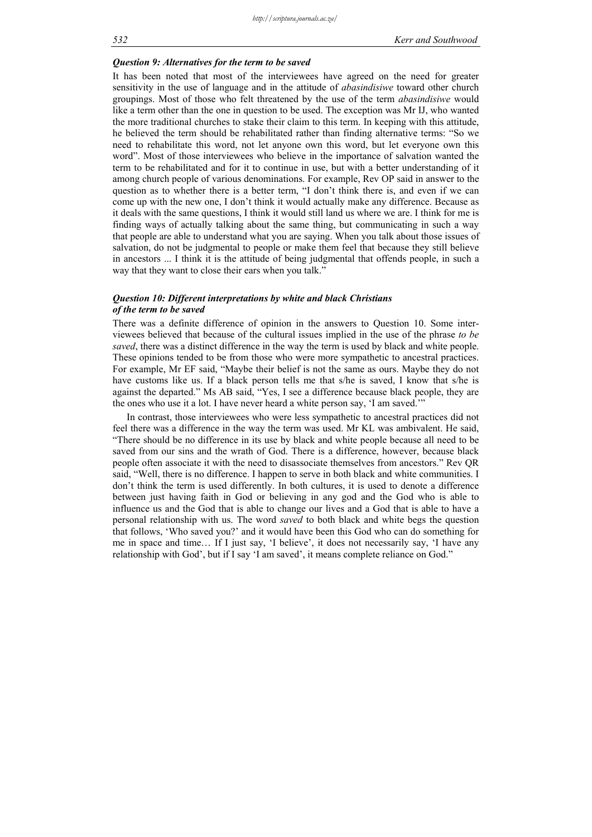### *Question 9: Alternatives for the term to be saved*

It has been noted that most of the interviewees have agreed on the need for greater sensitivity in the use of language and in the attitude of *abasindisiwe* toward other church groupings. Most of those who felt threatened by the use of the term *abasindisiwe* would like a term other than the one in question to be used. The exception was Mr IJ, who wanted the more traditional churches to stake their claim to this term. In keeping with this attitude, he believed the term should be rehabilitated rather than finding alternative terms: "So we need to rehabilitate this word, not let anyone own this word, but let everyone own this word". Most of those interviewees who believe in the importance of salvation wanted the term to be rehabilitated and for it to continue in use, but with a better understanding of it among church people of various denominations. For example, Rev OP said in answer to the question as to whether there is a better term, "I don't think there is, and even if we can come up with the new one, I don't think it would actually make any difference. Because as it deals with the same questions, I think it would still land us where we are. I think for me is finding ways of actually talking about the same thing, but communicating in such a way that people are able to understand what you are saying. When you talk about those issues of salvation, do not be judgmental to people or make them feel that because they still believe in ancestors ... I think it is the attitude of being judgmental that offends people, in such a way that they want to close their ears when you talk."

### *Question 10: Different interpretations by white and black Christians of the term to be saved*

There was a definite difference of opinion in the answers to Question 10. Some interviewees believed that because of the cultural issues implied in the use of the phrase *to be saved*, there was a distinct difference in the way the term is used by black and white people. These opinions tended to be from those who were more sympathetic to ancestral practices. For example, Mr EF said, "Maybe their belief is not the same as ours. Maybe they do not have customs like us. If a black person tells me that s/he is saved, I know that s/he is against the departed." Ms AB said, "Yes, I see a difference because black people, they are the ones who use it a lot. I have never heard a white person say, 'I am saved.'"

In contrast, those interviewees who were less sympathetic to ancestral practices did not feel there was a difference in the way the term was used. Mr KL was ambivalent. He said, "There should be no difference in its use by black and white people because all need to be saved from our sins and the wrath of God. There is a difference, however, because black people often associate it with the need to disassociate themselves from ancestors." Rev QR said, "Well, there is no difference. I happen to serve in both black and white communities. I don't think the term is used differently. In both cultures, it is used to denote a difference between just having faith in God or believing in any god and the God who is able to influence us and the God that is able to change our lives and a God that is able to have a personal relationship with us. The word *saved* to both black and white begs the question that follows, 'Who saved you?' and it would have been this God who can do something for me in space and time… If I just say, 'I believe', it does not necessarily say, 'I have any relationship with God', but if I say 'I am saved', it means complete reliance on God."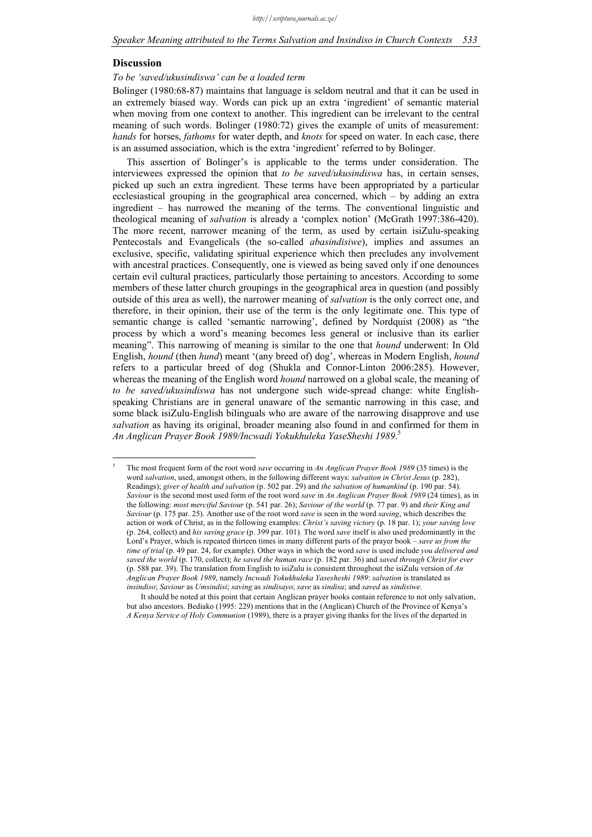#### **Discussion**

1 5

#### *To be 'saved/ukusindiswa' can be a loaded term*

Bolinger (1980:68-87) maintains that language is seldom neutral and that it can be used in an extremely biased way. Words can pick up an extra 'ingredient' of semantic material when moving from one context to another. This ingredient can be irrelevant to the central meaning of such words. Bolinger (1980:72) gives the example of units of measurement: *hands* for horses, *fathoms* for water depth, and *knots* for speed on water. In each case, there is an assumed association, which is the extra 'ingredient' referred to by Bolinger.

This assertion of Bolinger's is applicable to the terms under consideration. The interviewees expressed the opinion that *to be saved/ukusindiswa* has, in certain senses, picked up such an extra ingredient. These terms have been appropriated by a particular ecclesiastical grouping in the geographical area concerned, which – by adding an extra ingredient – has narrowed the meaning of the terms. The conventional linguistic and theological meaning of *salvation* is already a 'complex notion' (McGrath 1997:386-420). The more recent, narrower meaning of the term, as used by certain isiZulu-speaking Pentecostals and Evangelicals (the so-called *abasindisiwe*), implies and assumes an exclusive, specific, validating spiritual experience which then precludes any involvement with ancestral practices. Consequently, one is viewed as being saved only if one denounces certain evil cultural practices, particularly those pertaining to ancestors. According to some members of these latter church groupings in the geographical area in question (and possibly outside of this area as well), the narrower meaning of *salvation* is the only correct one, and therefore, in their opinion, their use of the term is the only legitimate one. This type of semantic change is called 'semantic narrowing', defined by Nordquist (2008) as "the process by which a word's meaning becomes less general or inclusive than its earlier meaning". This narrowing of meaning is similar to the one that *hound* underwent: In Old English, *hound* (then *hund*) meant '(any breed of) dog', whereas in Modern English, *hound*  refers to a particular breed of dog (Shukla and Connor-Linton 2006:285). However, whereas the meaning of the English word *hound* narrowed on a global scale, the meaning of *to be saved/ukusindiswa* has not undergone such wide-spread change: white Englishspeaking Christians are in general unaware of the semantic narrowing in this case, and some black isiZulu-English bilinguals who are aware of the narrowing disapprove and use *salvation* as having its original, broader meaning also found in and confirmed for them in *An Anglican Prayer Book 1989/Incwadi Yokukhuleka YaseSheshi 1989*. 5

The most frequent form of the root word *save* occurring in *An Anglican Prayer Book 1989* (35 times) is the word *salvation*, used, amongst others, in the following different ways: *salvation in Christ Jesus* (p. 282), Readings); *giver of health and salvation* (p. 502 par. 29) and *the salvation of humankind* (p. 190 par. 54). *Saviour* is the second most used form of the root word *save* in *An Anglican Prayer Book 1989* (24 times), as in the following: *most merciful Saviour* (p. 541 par. 26); *Saviour of the world* (p. 77 par. 9) and *their King and Saviour* (p. 175 par. 25). Another use of the root word *save* is seen in the word *saving*, which describes the action or work of Christ, as in the following examples: *Christ's saving victory* (p. 18 par. 1); *your saving love* (p. 264, collect) and *his saving grace* (p. 399 par. 101). The word *save* itself is also used predominantly in the Lord's Prayer, which is repeated thirteen times in many different parts of the prayer book – *save us from the time of trial* (p. 49 par. 24, for example). Other ways in which the word *save* is used include *you delivered and saved the world* (p. 170, collect); *he saved the human race* (p. 182 par. 36) and *saved through Christ for ever* (p. 588 par. 39). The translation from English to isiZulu is consistent throughout the isiZulu version of *An Anglican Prayer Book 1989*, namely *Incwadi Yokukhuleka Yasesheshi 1989*: *salvation* is translated as *insindiso*; *Saviour* as *Umsindisi*; *saving* as *sindisayo*; *save* as *sindisa*; and *saved* as *sindisiwe.*

It should be noted at this point that certain Anglican prayer books contain reference to not only salvation, but also ancestors. Bediako (1995: 229) mentions that in the (Anglican) Church of the Province of Kenya's *A Kenya Service of Holy Communion* (1989), there is a prayer giving thanks for the lives of the departed in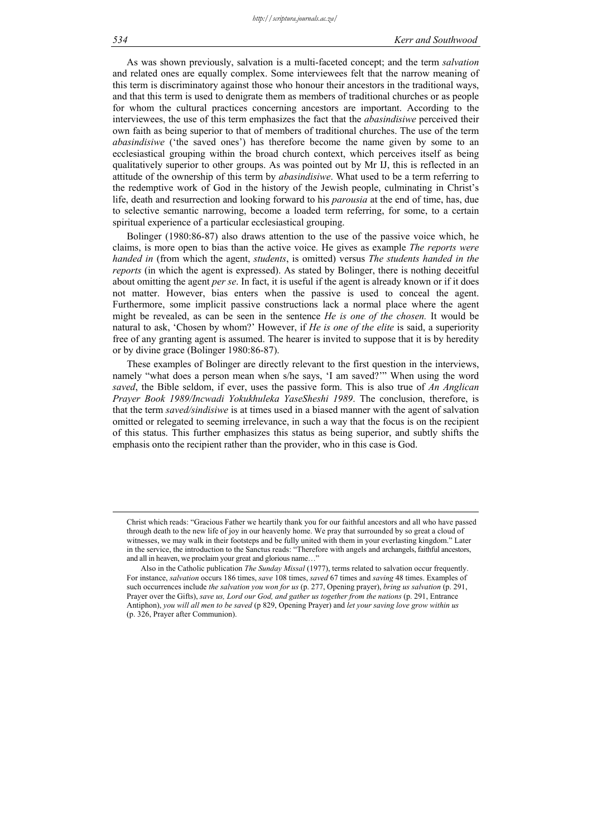As was shown previously, salvation is a multi-faceted concept; and the term *salvation*  and related ones are equally complex. Some interviewees felt that the narrow meaning of this term is discriminatory against those who honour their ancestors in the traditional ways, and that this term is used to denigrate them as members of traditional churches or as people for whom the cultural practices concerning ancestors are important. According to the interviewees, the use of this term emphasizes the fact that the *abasindisiwe* perceived their own faith as being superior to that of members of traditional churches. The use of the term *abasindisiwe* ('the saved ones') has therefore become the name given by some to an ecclesiastical grouping within the broad church context, which perceives itself as being qualitatively superior to other groups. As was pointed out by Mr IJ, this is reflected in an attitude of the ownership of this term by *abasindisiwe*. What used to be a term referring to the redemptive work of God in the history of the Jewish people, culminating in Christ's life, death and resurrection and looking forward to his *parousia* at the end of time, has, due to selective semantic narrowing, become a loaded term referring, for some, to a certain spiritual experience of a particular ecclesiastical grouping.

Bolinger (1980:86-87) also draws attention to the use of the passive voice which, he claims, is more open to bias than the active voice. He gives as example *The reports were handed in* (from which the agent, *students*, is omitted) versus *The students handed in the reports* (in which the agent is expressed). As stated by Bolinger, there is nothing deceitful about omitting the agent *per se*. In fact, it is useful if the agent is already known or if it does not matter. However, bias enters when the passive is used to conceal the agent. Furthermore, some implicit passive constructions lack a normal place where the agent might be revealed, as can be seen in the sentence *He is one of the chosen.* It would be natural to ask, 'Chosen by whom?' However, if *He is one of the elite* is said, a superiority free of any granting agent is assumed. The hearer is invited to suppose that it is by heredity or by divine grace (Bolinger 1980:86-87).

These examples of Bolinger are directly relevant to the first question in the interviews, namely "what does a person mean when s/he says, 'I am saved?'" When using the word *saved*, the Bible seldom, if ever, uses the passive form. This is also true of *An Anglican Prayer Book 1989/Incwadi Yokukhuleka YaseSheshi 1989*. The conclusion, therefore, is that the term *saved/sindisiwe* is at times used in a biased manner with the agent of salvation omitted or relegated to seeming irrelevance, in such a way that the focus is on the recipient of this status. This further emphasizes this status as being superior, and subtly shifts the emphasis onto the recipient rather than the provider, who in this case is God.

Christ which reads: "Gracious Father we heartily thank you for our faithful ancestors and all who have passed through death to the new life of joy in our heavenly home. We pray that surrounded by so great a cloud of witnesses, we may walk in their footsteps and be fully united with them in your everlasting kingdom." Later in the service, the introduction to the Sanctus reads: "Therefore with angels and archangels, faithful ancestors, and all in heaven, we proclaim your great and glorious name...

Also in the Catholic publication *The Sunday Missal* (1977), terms related to salvation occur frequently. For instance, *salvation* occurs 186 times, *save* 108 times, *saved* 67 times and *saving* 48 times. Examples of such occurrences include *the salvation you won for us* (p. 277, Opening prayer), *bring us salvation* (p. 291, Prayer over the Gifts), *save us, Lord our God, and gather us together from the nations* (p. 291, Entrance Antiphon), *you will all men to be saved* (p 829, Opening Prayer) and *let your saving love grow within us*  (p. 326, Prayer after Communion).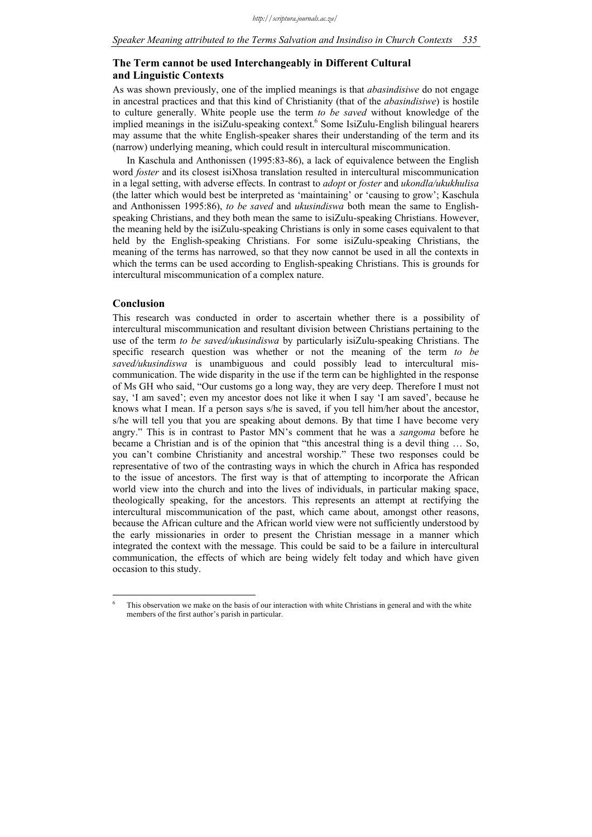### **The Term cannot be used Interchangeably in Different Cultural and Linguistic Contexts**

As was shown previously, one of the implied meanings is that *abasindisiwe* do not engage in ancestral practices and that this kind of Christianity (that of the *abasindisiwe*) is hostile to culture generally. White people use the term *to be saved* without knowledge of the implied meanings in the isiZulu-speaking context.<sup>6</sup> Some IsiZulu-English bilingual hearers may assume that the white English-speaker shares their understanding of the term and its (narrow) underlying meaning, which could result in intercultural miscommunication.

In Kaschula and Anthonissen (1995:83-86), a lack of equivalence between the English word *foster* and its closest isiXhosa translation resulted in intercultural miscommunication in a legal setting, with adverse effects. In contrast to *adopt* or *foster* and *ukondla/ukukhulisa*  (the latter which would best be interpreted as 'maintaining' or 'causing to grow'; Kaschula and Anthonissen 1995:86), *to be saved* and *ukusindiswa* both mean the same to Englishspeaking Christians, and they both mean the same to isiZulu-speaking Christians. However, the meaning held by the isiZulu-speaking Christians is only in some cases equivalent to that held by the English-speaking Christians. For some isiZulu-speaking Christians, the meaning of the terms has narrowed, so that they now cannot be used in all the contexts in which the terms can be used according to English-speaking Christians. This is grounds for intercultural miscommunication of a complex nature.

### **Conclusion**

1

This research was conducted in order to ascertain whether there is a possibility of intercultural miscommunication and resultant division between Christians pertaining to the use of the term *to be saved/ukusindiswa* by particularly isiZulu-speaking Christians. The specific research question was whether or not the meaning of the term *to be saved/ukusindiswa* is unambiguous and could possibly lead to intercultural miscommunication. The wide disparity in the use if the term can be highlighted in the response of Ms GH who said, "Our customs go a long way, they are very deep. Therefore I must not say, 'I am saved'; even my ancestor does not like it when I say 'I am saved', because he knows what I mean. If a person says s/he is saved, if you tell him/her about the ancestor, s/he will tell you that you are speaking about demons. By that time I have become very angry." This is in contrast to Pastor MN's comment that he was a *sangoma* before he became a Christian and is of the opinion that "this ancestral thing is a devil thing … So, you can't combine Christianity and ancestral worship." These two responses could be representative of two of the contrasting ways in which the church in Africa has responded to the issue of ancestors. The first way is that of attempting to incorporate the African world view into the church and into the lives of individuals, in particular making space, theologically speaking, for the ancestors. This represents an attempt at rectifying the intercultural miscommunication of the past, which came about, amongst other reasons, because the African culture and the African world view were not sufficiently understood by the early missionaries in order to present the Christian message in a manner which integrated the context with the message. This could be said to be a failure in intercultural communication, the effects of which are being widely felt today and which have given occasion to this study.

<sup>6</sup> This observation we make on the basis of our interaction with white Christians in general and with the white members of the first author's parish in particular.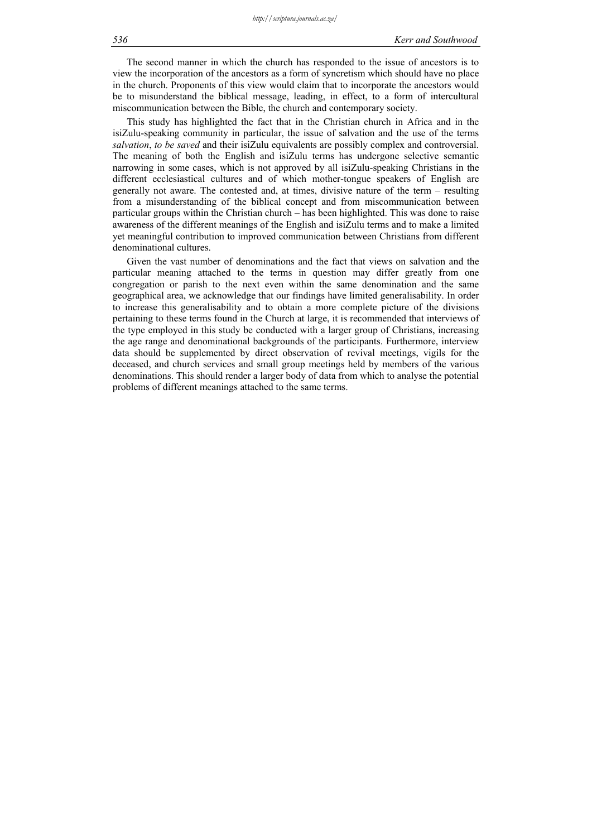The second manner in which the church has responded to the issue of ancestors is to view the incorporation of the ancestors as a form of syncretism which should have no place in the church. Proponents of this view would claim that to incorporate the ancestors would be to misunderstand the biblical message, leading, in effect, to a form of intercultural miscommunication between the Bible, the church and contemporary society.

This study has highlighted the fact that in the Christian church in Africa and in the isiZulu-speaking community in particular, the issue of salvation and the use of the terms *salvation*, *to be saved* and their isiZulu equivalents are possibly complex and controversial. The meaning of both the English and isiZulu terms has undergone selective semantic narrowing in some cases, which is not approved by all isiZulu-speaking Christians in the different ecclesiastical cultures and of which mother-tongue speakers of English are generally not aware. The contested and, at times, divisive nature of the term – resulting from a misunderstanding of the biblical concept and from miscommunication between particular groups within the Christian church – has been highlighted. This was done to raise awareness of the different meanings of the English and isiZulu terms and to make a limited yet meaningful contribution to improved communication between Christians from different denominational cultures.

Given the vast number of denominations and the fact that views on salvation and the particular meaning attached to the terms in question may differ greatly from one congregation or parish to the next even within the same denomination and the same geographical area, we acknowledge that our findings have limited generalisability. In order to increase this generalisability and to obtain a more complete picture of the divisions pertaining to these terms found in the Church at large, it is recommended that interviews of the type employed in this study be conducted with a larger group of Christians, increasing the age range and denominational backgrounds of the participants. Furthermore, interview data should be supplemented by direct observation of revival meetings, vigils for the deceased, and church services and small group meetings held by members of the various denominations. This should render a larger body of data from which to analyse the potential problems of different meanings attached to the same terms.